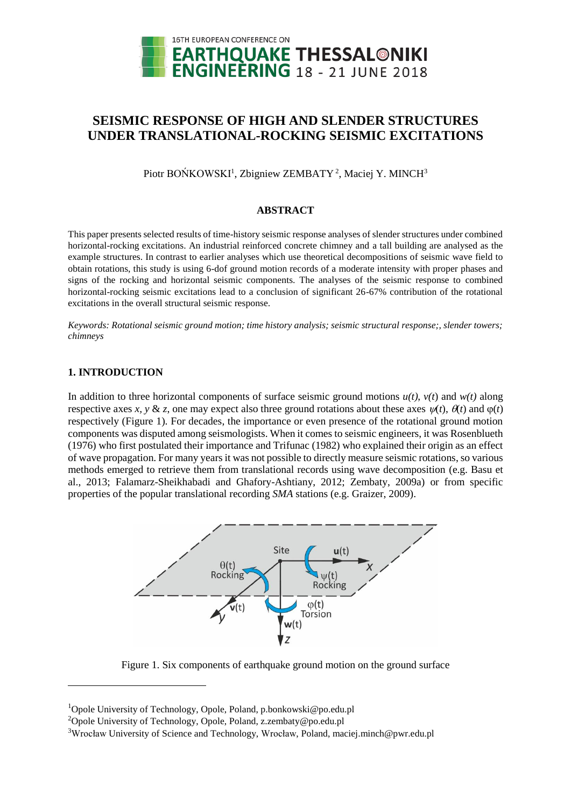

# **SEISMIC RESPONSE OF HIGH AND SLENDER STRUCTURES UNDER TRANSLATIONAL-ROCKING SEISMIC EXCITATIONS**

Piotr BOŃKOWSKI<sup>1</sup>, Zbigniew ZEMBATY<sup>2</sup>, Maciej Y. MINCH<sup>3</sup>

#### **ABSTRACT**

This paper presents selected results of time-history seismic response analyses of slender structures under combined horizontal-rocking excitations. An industrial reinforced concrete chimney and a tall building are analysed as the example structures. In contrast to earlier analyses which use theoretical decompositions of seismic wave field to obtain rotations, this study is using 6-dof ground motion records of a moderate intensity with proper phases and signs of the rocking and horizontal seismic components. The analyses of the seismic response to combined horizontal-rocking seismic excitations lead to a conclusion of significant 26-67% contribution of the rotational excitations in the overall structural seismic response.

*Keywords: Rotational seismic ground motion; time history analysis; seismic structural response;, slender towers; chimneys*

# **1. INTRODUCTION**

l

In addition to three horizontal components of surface seismic ground motions  $u(t)$ ,  $v(t)$  and  $w(t)$  along respective axes *x*, *y* & *z*, one may expect also three ground rotations about these axes  $\psi(t)$ ,  $\theta(t)$  and  $\phi(t)$ respectively (Figure 1). For decades, the importance or even presence of the rotational ground motion components was disputed among seismologists. When it comes to seismic engineers, it was Rosenblueth (1976) who first postulated their importance and Trifunac (1982) who explained their origin as an effect of wave propagation. For many years it was not possible to directly measure seismic rotations, so various methods emerged to retrieve them from translational records using wave decomposition (e.g. Basu et al., 2013; Falamarz-Sheikhabadi and Ghafory-Ashtiany, 2012; Zembaty, 2009a) or from specific properties of the popular translational recording *SMA* stations (e.g. Graizer, 2009).



Figure 1. Six components of earthquake ground motion on the ground surface

<sup>&</sup>lt;sup>1</sup>Opole University of Technology, Opole, Poland, p.bonkowski@po.edu.pl

<sup>&</sup>lt;sup>2</sup>Opole University of Technology, Opole, Poland, z.zembaty@po.edu.pl

<sup>3</sup>Wrocław University of Science and Technology, Wrocław, Poland, maciej.minch@pwr.edu.pl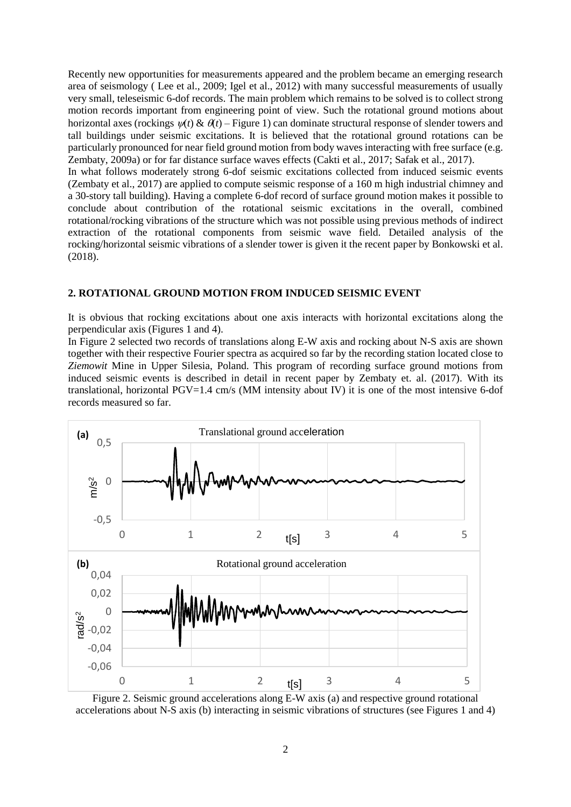Recently new opportunities for measurements appeared and the problem became an emerging research area of seismology ( Lee et al., 2009; Igel et al., 2012) with many successful measurements of usually very small, teleseismic 6-dof records. The main problem which remains to be solved is to collect strong motion records important from engineering point of view. Such the rotational ground motions about horizontal axes (rockings  $\mathcal{U}(t) \& \mathcal{H}(t) -$  Figure 1) can dominate structural response of slender towers and tall buildings under seismic excitations. It is believed that the rotational ground rotations can be particularly pronounced for near field ground motion from body waves interacting with free surface (e.g. Zembaty, 2009a) or for far distance surface waves effects (Cakti et al., 2017; Safak et al., 2017).

In what follows moderately strong 6-dof seismic excitations collected from induced seismic events (Zembaty et al., 2017) are applied to compute seismic response of a 160 m high industrial chimney and a 30-story tall building). Having a complete 6-dof record of surface ground motion makes it possible to conclude about contribution of the rotational seismic excitations in the overall, combined rotational/rocking vibrations of the structure which was not possible using previous methods of indirect extraction of the rotational components from seismic wave field. Detailed analysis of the rocking/horizontal seismic vibrations of a slender tower is given it the recent paper by Bonkowski et al. (2018).

#### **2. ROTATIONAL GROUND MOTION FROM INDUCED SEISMIC EVENT**

It is obvious that rocking excitations about one axis interacts with horizontal excitations along the perpendicular axis (Figures 1 and 4).

In Figure 2 selected two records of translations along E-W axis and rocking about N-S axis are shown together with their respective Fourier spectra as acquired so far by the recording station located close to *Ziemowit* Mine in Upper Silesia, Poland. This program of recording surface ground motions from induced seismic events is described in detail in recent paper by Zembaty et. al. (2017). With its translational, horizontal PGV=1.4 cm/s (MM intensity about IV) it is one of the most intensive 6-dof records measured so far.



Figure 2. Seismic ground accelerations along E-W axis (a) and respective ground rotational accelerations about N-S axis (b) interacting in seismic vibrations of structures (see Figures 1 and 4)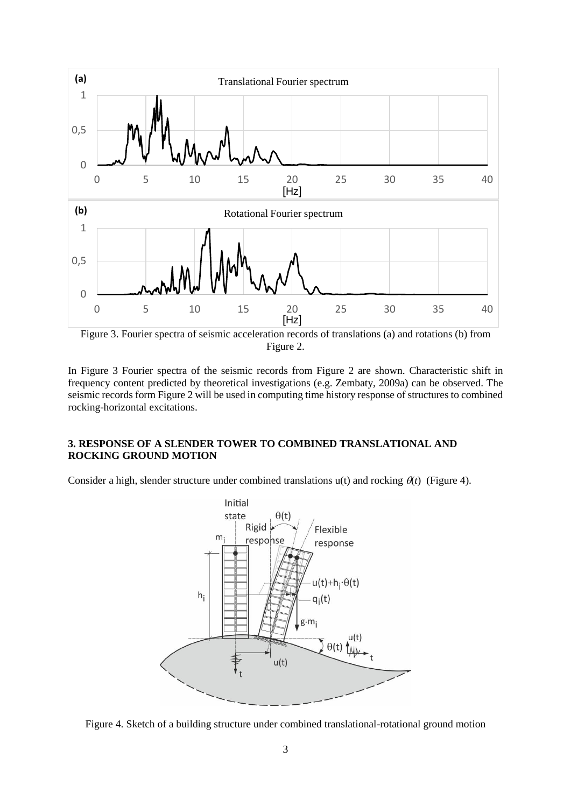

Figure 3. Fourier spectra of seismic acceleration records of translations (a) and rotations (b) from Figure 2.

In Figure 3 Fourier spectra of the seismic records from Figure 2 are shown. Characteristic shift in frequency content predicted by theoretical investigations (e.g. Zembaty, 2009a) can be observed. The seismic records form Figure 2 will be used in computing time history response of structures to combined rocking-horizontal excitations.

## **3. RESPONSE OF A SLENDER TOWER TO COMBINED TRANSLATIONAL AND ROCKING GROUND MOTION**

Consider a high, slender structure under combined translations  $u(t)$  and rocking  $\theta(t)$  (Figure 4).



Figure 4. Sketch of a building structure under combined translational-rotational ground motion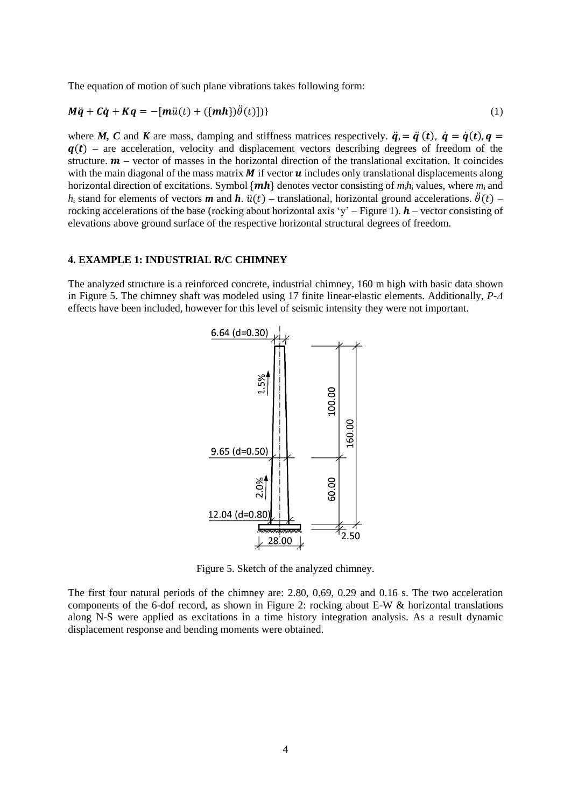The equation of motion of such plane vibrations takes following form:

$$
M\ddot{q} + C\dot{q} + Kq = -[m\ddot{u}(t) + (\{mh\})\ddot{\theta}(t)])
$$
\n(1)

where *M*, *C* and *K* are mass, damping and stiffness matrices respectively.  $\ddot{q} = \ddot{q}(t)$ ,  $\dot{q} = \dot{q}(t)$ ,  $q =$  $q(t)$  – are acceleration, velocity and displacement vectors describing degrees of freedom of the structure.  $\mathbf{m}$  – vector of masses in the horizontal direction of the translational excitation. It coincides with the main diagonal of the mass matrix  $\bm{M}$  if vector  $\bm{u}$  includes only translational displacements along horizontal direction of excitations. Symbol  $\{mh\}$  denotes vector consisting of  $m_1h_1$  values, where  $m_1$  and *h*<sub>i</sub> stand for elements of vectors *m* and *h*.  $\ddot{u}(t)$  – translational, horizontal ground accelerations.  $\ddot{\theta}(t)$  – rocking accelerations of the base (rocking about horizontal axis 'y' – Figure 1).  $h$  – vector consisting of elevations above ground surface of the respective horizontal structural degrees of freedom.

#### **4. EXAMPLE 1: INDUSTRIAL R/C CHIMNEY**

The analyzed structure is a reinforced concrete, industrial chimney, 160 m high with basic data shown in Figure 5. The chimney shaft was modeled using 17 finite linear-elastic elements. Additionally, *P-Δ* effects have been included, however for this level of seismic intensity they were not important.



Figure 5. Sketch of the analyzed chimney.

The first four natural periods of the chimney are: 2.80, 0.69, 0.29 and 0.16 s. The two acceleration components of the 6-dof record, as shown in Figure 2: rocking about E-W & horizontal translations along N-S were applied as excitations in a time history integration analysis. As a result dynamic displacement response and bending moments were obtained.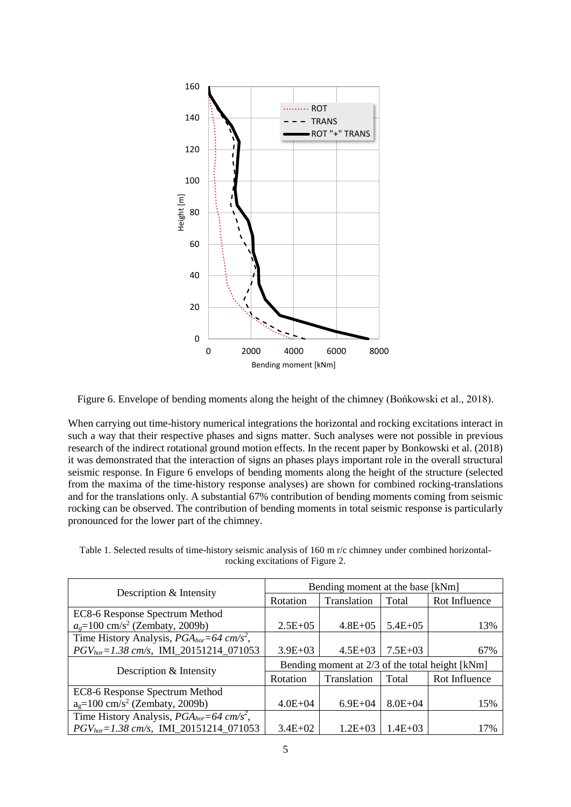

Figure 6. Envelope of bending moments along the height of the chimney (Bońkowski et al., 2018).

When carrying out time-history numerical integrations the horizontal and rocking excitations interact in such a way that their respective phases and signs matter. Such analyses were not possible in previous research of the indirect rotational ground motion effects. In the recent paper by Bonkowski et al. (2018) it was demonstrated that the interaction of signs an phases plays important role in the overall structural seismic response. In Figure 6 envelops of bending moments along the height of the structure (selected from the maxima of the time-history response analyses) are shown for combined rocking-translations and for the translations only. A substantial 67% contribution of bending moments coming from seismic rocking can be observed. The contribution of bending moments in total seismic response is particularly pronounced for the lower part of the chimney.

Table 1. Selected results of time-history seismic analysis of 160 m r/c chimney under combined horizontalrocking excitations of Figure 2.

|                                                                | Bending moment at the base [kNm]                |              |              |               |
|----------------------------------------------------------------|-------------------------------------------------|--------------|--------------|---------------|
| Description & Intensity                                        | Rotation                                        | Translation  | Total        | Rot Influence |
| EC8-6 Response Spectrum Method                                 |                                                 |              |              |               |
| $a_e = 100$ cm/s <sup>2</sup> (Zembaty, 2009b)                 | $2.5E+0.5$                                      | $4.8E + 0.5$ | $5.4E+0.5$   | 13%           |
| Time History Analysis, $PGA_{hor}=64 \, \text{cm/s}^2$ ,       |                                                 |              |              |               |
| $PGV_{hor} = 1.38 \text{ cm/s}, \text{ IMI\_20151214\_071053}$ | $3.9E + 03$                                     | $4.5E + 03$  | $7.5E+03$    | 67%           |
| Description & Intensity                                        | Bending moment at 2/3 of the total height [kNm] |              |              |               |
|                                                                | Rotation                                        | Translation  | Total        | Rot Influence |
| EC8-6 Response Spectrum Method                                 |                                                 |              |              |               |
| $ag=100$ cm/s <sup>2</sup> (Zembaty, 2009b)                    | $4.0E + 04$                                     | $6.9E + 04$  | $8.0E + 04$  | 15%           |
| Time History Analysis, $PGA_{hor}=64 \, \text{cm/s}^2$ ,       |                                                 |              |              |               |
| $PGV_{hor} = 1.38 \text{ cm/s}$ , IMI 20151214 071053          | $3.4E+02$                                       | $1.2E + 0.3$ | $1.4E + 0.3$ | 17%           |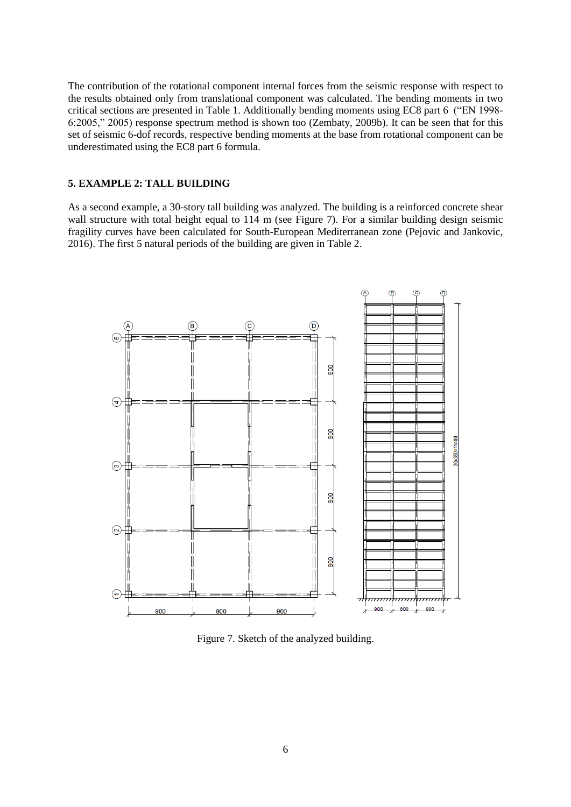The contribution of the rotational component internal forces from the seismic response with respect to the results obtained only from translational component was calculated. The bending moments in two critical sections are presented in Table 1. Additionally bending moments using EC8 part 6 ("EN 1998- 6:2005," 2005) response spectrum method is shown too (Zembaty, 2009b). It can be seen that for this set of seismic 6-dof records, respective bending moments at the base from rotational component can be underestimated using the EC8 part 6 formula.

## **5. EXAMPLE 2: TALL BUILDING**

As a second example, a 30-story tall building was analyzed. The building is a reinforced concrete shear wall structure with total height equal to 114 m (see Figure 7). For a similar building design seismic fragility curves have been calculated for South-European Mediterranean zone (Pejovic and Jankovic, 2016). The first 5 natural periods of the building are given in Table 2.



Figure 7. Sketch of the analyzed building.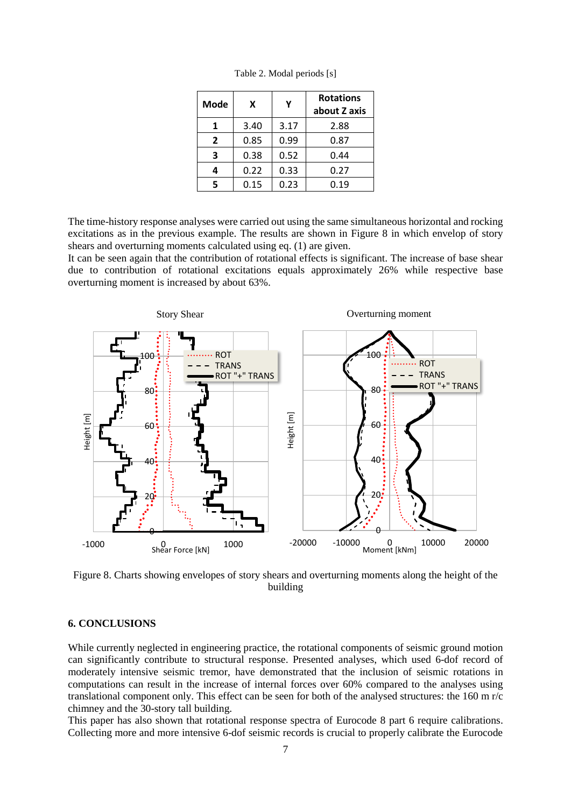| Mode           | X    | γ    | <b>Rotations</b><br>about Z axis |
|----------------|------|------|----------------------------------|
|                | 3.40 | 3.17 | 2.88                             |
| $\overline{2}$ | 0.85 | 0.99 | 0.87                             |
| 3              | 0.38 | 0.52 | 0.44                             |
|                | 0.22 | 0.33 | 0.27                             |
|                | 0.15 | 0.23 | 0.19                             |

Table 2. Modal periods [s]

The time-history response analyses were carried out using the same simultaneous horizontal and rocking excitations as in the previous example. The results are shown in Figure 8 in which envelop of story shears and overturning moments calculated using eq. (1) are given.

It can be seen again that the contribution of rotational effects is significant. The increase of base shear due to contribution of rotational excitations equals approximately 26% while respective base overturning moment is increased by about 63%.



Figure 8. Charts showing envelopes of story shears and overturning moments along the height of the building

# **6. CONCLUSIONS**

While currently neglected in engineering practice, the rotational components of seismic ground motion can significantly contribute to structural response. Presented analyses, which used 6-dof record of moderately intensive seismic tremor, have demonstrated that the inclusion of seismic rotations in computations can result in the increase of internal forces over 60% compared to the analyses using translational component only. This effect can be seen for both of the analysed structures: the 160 m r/c chimney and the 30-story tall building.

This paper has also shown that rotational response spectra of Eurocode 8 part 6 require calibrations. Collecting more and more intensive 6-dof seismic records is crucial to properly calibrate the Eurocode